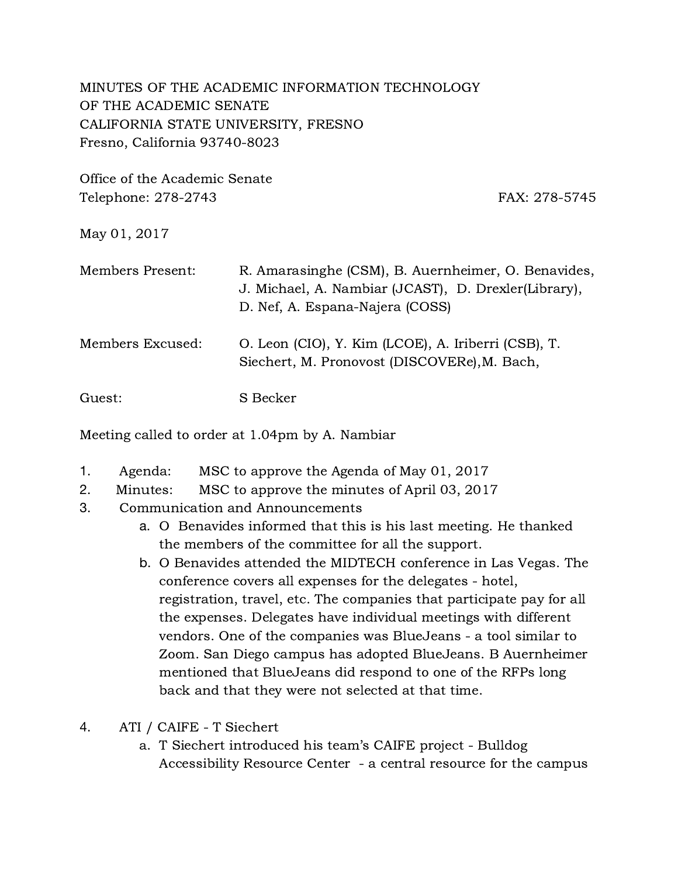## MINUTES OF THE ACADEMIC INFORMATION TECHNOLOGY OF THE ACADEMIC SENATE CALIFORNIA STATE UNIVERSITY, FRESNO Fresno, California 93740-8023

Office of the Academic Senate Telephone: 278-2743 FAX: 278-5745

## May 01, 2017

| Members Present: | R. Amarasinghe (CSM), B. Auernheimer, O. Benavides,<br>J. Michael, A. Nambiar (JCAST), D. Drexler(Library),<br>D. Nef, A. Espana-Najera (COSS) |
|------------------|------------------------------------------------------------------------------------------------------------------------------------------------|
| Members Excused: | O. Leon (CIO), Y. Kim (LCOE), A. Iriberri (CSB), T.<br>Siechert, M. Pronovost (DISCOVERe), M. Bach,                                            |
| Guest:           | S Becker                                                                                                                                       |

Meeting called to order at 1.04pm by A. Nambiar

- 1. Agenda: MSC to approve the Agenda of May 01, 2017
- 2. Minutes: MSC to approve the minutes of April 03, 2017
- 3. Communication and Announcements
	- a. O Benavides informed that this is his last meeting. He thanked the members of the committee for all the support.
	- b. O Benavides attended the MIDTECH conference in Las Vegas. The conference covers all expenses for the delegates - hotel, registration, travel, etc. The companies that participate pay for all the expenses. Delegates have individual meetings with different vendors. One of the companies was BlueJeans - a tool similar to Zoom. San Diego campus has adopted BlueJeans. B Auernheimer mentioned that BlueJeans did respond to one of the RFPs long back and that they were not selected at that time.
- 4. ATI / CAIFE T Siechert
	- a. T Siechert introduced his team's CAIFE project Bulldog Accessibility Resource Center - a central resource for the campus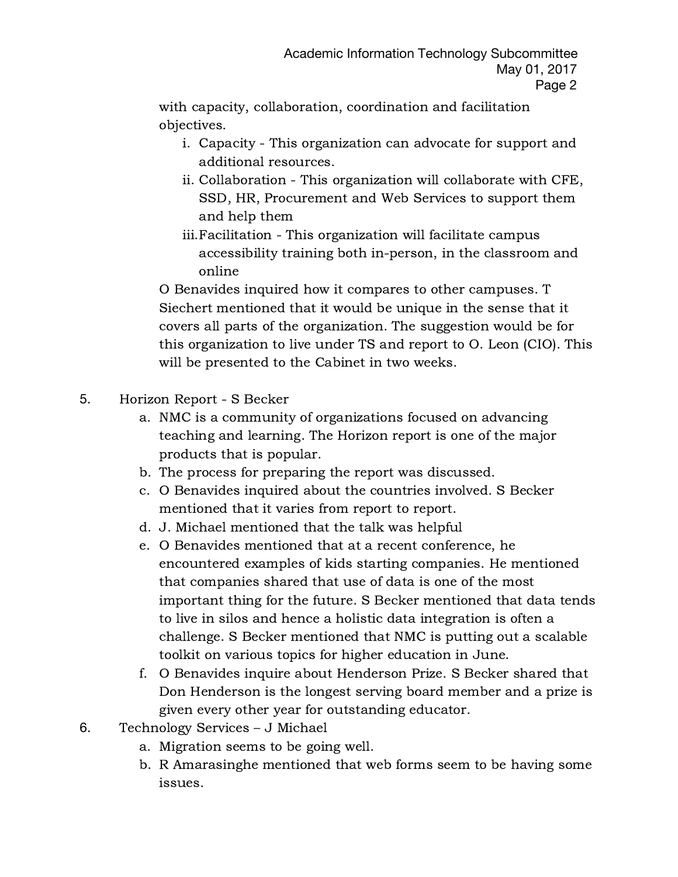with capacity, collaboration, coordination and facilitation objectives.

- i. Capacity This organization can advocate for support and additional resources.
- ii. Collaboration This organization will collaborate with CFE, SSD, HR, Procurement and Web Services to support them and help them
- iii.Facilitation This organization will facilitate campus accessibility training both in-person, in the classroom and online

O Benavides inquired how it compares to other campuses. T Siechert mentioned that it would be unique in the sense that it covers all parts of the organization. The suggestion would be for this organization to live under TS and report to O. Leon (CIO). This will be presented to the Cabinet in two weeks.

- 5. Horizon Report S Becker
	- a. NMC is a community of organizations focused on advancing teaching and learning. The Horizon report is one of the major products that is popular.
	- b. The process for preparing the report was discussed.
	- c. O Benavides inquired about the countries involved. S Becker mentioned that it varies from report to report.
	- d. J. Michael mentioned that the talk was helpful
	- e. O Benavides mentioned that at a recent conference, he encountered examples of kids starting companies. He mentioned that companies shared that use of data is one of the most important thing for the future. S Becker mentioned that data tends to live in silos and hence a holistic data integration is often a challenge. S Becker mentioned that NMC is putting out a scalable toolkit on various topics for higher education in June.
	- f. O Benavides inquire about Henderson Prize. S Becker shared that Don Henderson is the longest serving board member and a prize is given every other year for outstanding educator.
- 6. Technology Services J Michael
	- a. Migration seems to be going well.
	- b. R Amarasinghe mentioned that web forms seem to be having some issues.